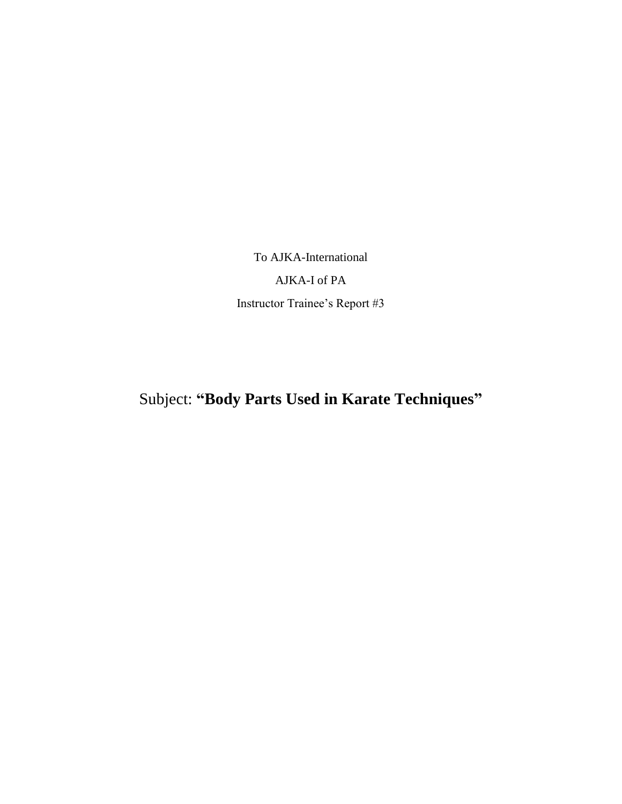To AJKA-International

AJKA-I of PA Instructor Trainee's Report #3

Subject: **"Body Parts Used in Karate Techniques"**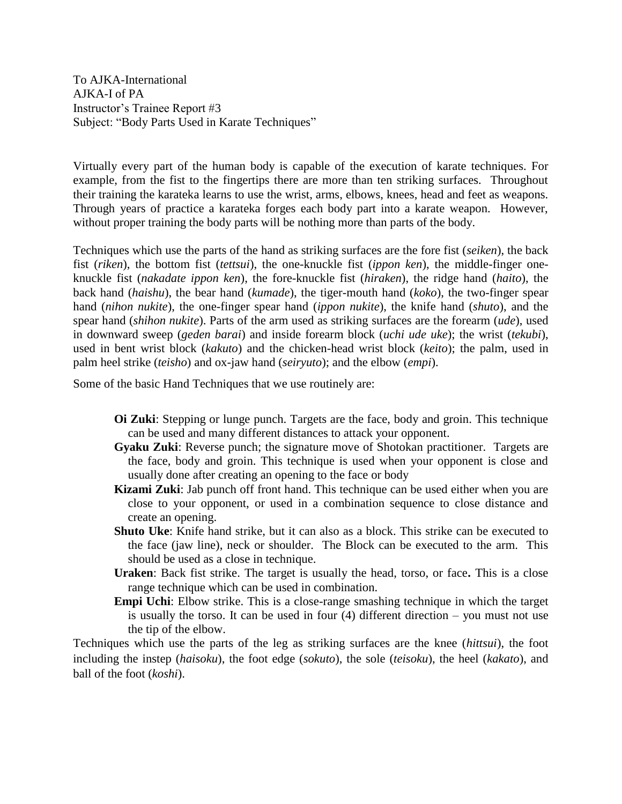To AJKA-International AJKA-I of PA Instructor's Trainee Report #3 Subject: "Body Parts Used in Karate Techniques"

Virtually every part of the human body is capable of the execution of karate techniques. For example, from the fist to the fingertips there are more than ten striking surfaces. Throughout their training the karateka learns to use the wrist, arms, elbows, knees, head and feet as weapons. Through years of practice a karateka forges each body part into a karate weapon. However, without proper training the body parts will be nothing more than parts of the body.

Techniques which use the parts of the hand as striking surfaces are the fore fist (*seiken*), the back fist (*riken*), the bottom fist (*tettsui*), the one-knuckle fist (*ippon ken*), the middle-finger oneknuckle fist (*nakadate ippon ken*), the fore-knuckle fist (*hiraken*), the ridge hand (*haito*), the back hand (*haishu*), the bear hand (*kumade*), the tiger-mouth hand (*koko*), the two-finger spear hand (*nihon nukite*), the one-finger spear hand (*ippon nukite*), the knife hand (*shuto*), and the spear hand (*shihon nukite*). Parts of the arm used as striking surfaces are the forearm (*ude*), used in downward sweep (*geden barai*) and inside forearm block (*uchi ude uke*); the wrist (*tekubi*), used in bent wrist block (*kakuto*) and the chicken-head wrist block (*keito*); the palm, used in palm heel strike (*teisho*) and ox-jaw hand (*seiryuto*); and the elbow (*empi*).

Some of the basic Hand Techniques that we use routinely are:

- **Oi Zuki**: Stepping or lunge punch. Targets are the face, body and groin. This technique can be used and many different distances to attack your opponent.
- **Gyaku Zuki**: Reverse punch; the signature move of Shotokan practitioner. Targets are the face, body and groin. This technique is used when your opponent is close and usually done after creating an opening to the face or body
- **Kizami Zuki**: Jab punch off front hand. This technique can be used either when you are close to your opponent, or used in a combination sequence to close distance and create an opening.
- **Shuto Uke**: Knife hand strike, but it can also as a block. This strike can be executed to the face (jaw line), neck or shoulder. The Block can be executed to the arm. This should be used as a close in technique.
- **Uraken**: Back fist strike. The target is usually the head, torso, or face**.** This is a close range technique which can be used in combination.
- **Empi Uchi**: Elbow strike. This is a close-range smashing technique in which the target is usually the torso. It can be used in four (4) different direction – you must not use the tip of the elbow.

Techniques which use the parts of the leg as striking surfaces are the knee (*hittsui*), the foot including the instep (*haisoku*), the foot edge (*sokuto*), the sole (*teisoku*), the heel (*kakato*), and ball of the foot (*koshi*).